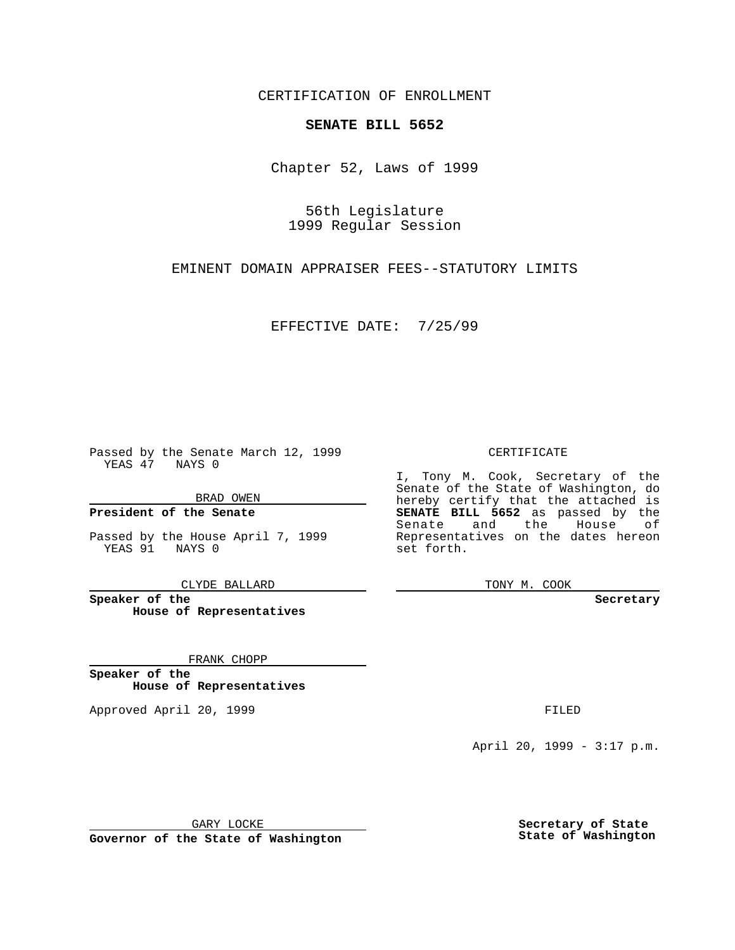CERTIFICATION OF ENROLLMENT

## **SENATE BILL 5652**

Chapter 52, Laws of 1999

56th Legislature 1999 Regular Session

EMINENT DOMAIN APPRAISER FEES--STATUTORY LIMITS

EFFECTIVE DATE: 7/25/99

Passed by the Senate March 12, 1999 YEAS 47 NAYS 0

BRAD OWEN

**President of the Senate**

Passed by the House April 7, 1999 YEAS 91 NAYS 0

CLYDE BALLARD

**Speaker of the House of Representatives**

FRANK CHOPP

**Speaker of the House of Representatives**

Approved April 20, 1999 **FILED** 

## CERTIFICATE

I, Tony M. Cook, Secretary of the Senate of the State of Washington, do hereby certify that the attached is **SENATE BILL 5652** as passed by the Senate and the House of Representatives on the dates hereon set forth.

TONY M. COOK

## **Secretary**

April 20, 1999 - 3:17 p.m.

GARY LOCKE

**Governor of the State of Washington**

**Secretary of State State of Washington**